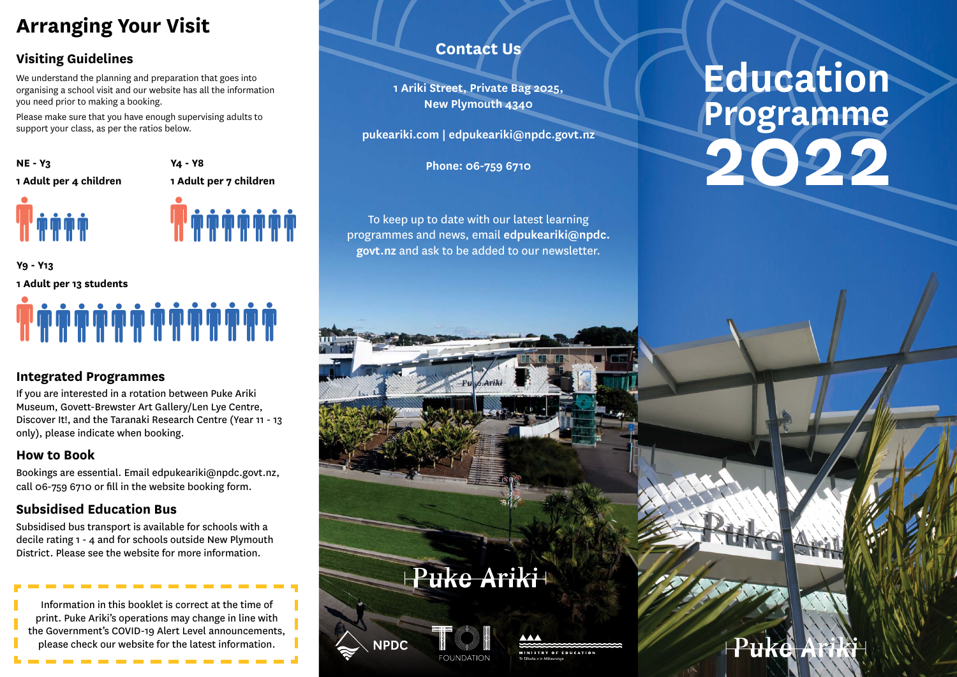# **Arranging Your Visit**

# **Visiting Guidelines**

We understand the planning and preparation that goes into organising a school visit and our website has all the information you need prior to making a booking.

Please make sure that you have enough supervising adults to support your class, as per the ratios below.

**NE - Y3 1 Adult per 4 children**  **Y4 - Y8 1 Adult per 7 children** 

**T** și și și și și și

# **Y9 - Y13 1 Adult per 13 students**

## **Integrated Programmes**

If you are interested in a rotation between Puke Ariki Museum, Govett-Brewster Art Gallery/Len Lye Centre, Discover It!, and the Taranaki Research Centre (Year 11 - 13 only), please indicate when booking.

### **How to Book**

Bookings are essential. Email edpukeariki@npdc.govt.nz, call 06-759 6710 or fill in the website booking form.

# **Subsidised Education Bus**

Subsidised bus transport is available for schools with a decile rating 1 - 4 and for schools outside New Plymouth District. Please see the website for more information.

Information in this booklet is correct at the time of print. Puke Ariki's operations may change in line with the Government's COVID-19 Alert Level announcements, please check our website for the latest information.

# **Contact Us**

**1 Ariki Street, Private Bag 2025, New Plymouth 4340**

**pukeariki.com | edpukeariki@npdc.govt.nz**

**Phone: 06-759 6710** 

To keep up to date with our latest learning programmes and news, email **edpukeariki@npdc. govt.nz** and ask to be added to our newsletter.

# Education Programme

Puke At

Puke Ariki+

**FONNDATI** 

**IPDC** 

MINISTRY OF EDUCATION